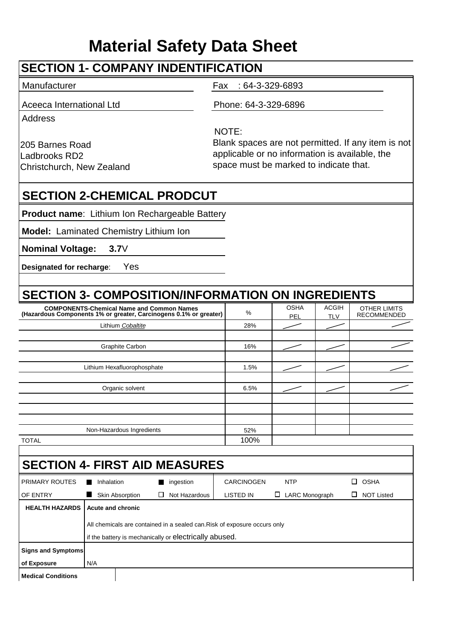# **Material Safety Data Sheet**

### **SECTION 1- COMPANY INDENTIFICATION**

Manufacturer **Fax** : 64-3-329-6893 Aceeca International Ltd Phone: 64-3-329-6896 **Address** NOTE:

205 Barnes Road Ladbrooks RD2 Christchurch, New Zealand Blank spaces are not permitted. If any item is not applicable or no information is available, the space must be marked to indicate that.

### **SECTION 2-CHEMICAL PRODCUT**

**Product name**: Lithium Ion Rechargeable Battery

**Model:** Laminated Chemistry Lithium Ion

**Nominal Voltage: 3.7**V

**Designated for recharge**: Yes

## **SECTION 3- COMPOSITION/INFORMATION ON INGREDIENTS**

| <b>COMPONENTS-Chemical Name and Common Names</b><br>(Hazardous Components 1% or greater, Carcinogens 0.1% or greater) | %    | <b>OSHA</b><br><b>PEL</b> | <b>ACGIH</b><br><b>TLV</b> | <b>OTHER LIMITS</b><br><b>RECOMMENDED</b> |
|-----------------------------------------------------------------------------------------------------------------------|------|---------------------------|----------------------------|-------------------------------------------|
| Lithium Cobaltite                                                                                                     | 28%  |                           |                            |                                           |
|                                                                                                                       |      |                           |                            |                                           |
| Graphite Carbon                                                                                                       | 16%  |                           |                            |                                           |
|                                                                                                                       |      |                           |                            |                                           |
| Lithium Hexafluorophosphate                                                                                           | 1.5% |                           |                            |                                           |
|                                                                                                                       |      |                           |                            |                                           |
| Organic solvent                                                                                                       | 6.5% |                           |                            |                                           |
|                                                                                                                       |      |                           |                            |                                           |
|                                                                                                                       |      |                           |                            |                                           |
|                                                                                                                       |      |                           |                            |                                           |
| Non-Hazardous Ingredients                                                                                             | 52%  |                           |                            |                                           |
| <b>TOTAL</b>                                                                                                          | 100% |                           |                            |                                           |

TOTAL

| <b>SECTION 4- FIRST AID MEASURES</b>                                                                                                                                              |                 |   |               |                  |                            |                             |
|-----------------------------------------------------------------------------------------------------------------------------------------------------------------------------------|-----------------|---|---------------|------------------|----------------------------|-----------------------------|
| <b>PRIMARY ROUTES</b>                                                                                                                                                             | Inhalation      |   | ingestion     | CARCINOGEN       | <b>NTP</b>                 | OSHA<br>□                   |
| OF ENTRY                                                                                                                                                                          | Skin Absorption | ⊔ | Not Hazardous | <b>LISTED IN</b> | <b>LARC Monograph</b><br>ப | <b>NOT Listed</b><br>$\Box$ |
| <b>HEALTH HAZARDS</b><br>Acute and chronic<br>All chemicals are contained in a sealed can. Risk of exposure occurs only<br>if the battery is mechanically or electrically abused. |                 |   |               |                  |                            |                             |
| <b>Signs and Symptoms</b>                                                                                                                                                         |                 |   |               |                  |                            |                             |
| of Exposure                                                                                                                                                                       | N/A             |   |               |                  |                            |                             |
| <b>Medical Conditions</b>                                                                                                                                                         |                 |   |               |                  |                            |                             |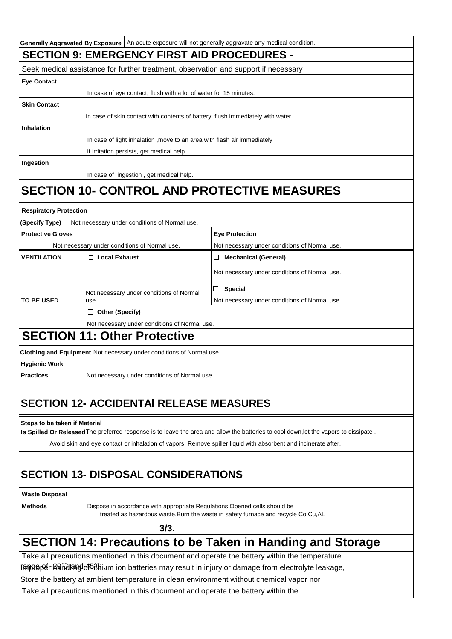| Generally Aggravated By Exposure   An acute exposure will not generally aggravate any medical condition. |                                                                                          |                                                                                                                                       |  |
|----------------------------------------------------------------------------------------------------------|------------------------------------------------------------------------------------------|---------------------------------------------------------------------------------------------------------------------------------------|--|
|                                                                                                          | <b>SECTION 9: EMERGENCY FIRST AID PROCEDURES -</b>                                       |                                                                                                                                       |  |
|                                                                                                          | Seek medical assistance for further treatment, observation and support if necessary      |                                                                                                                                       |  |
| <b>Eye Contact</b>                                                                                       |                                                                                          |                                                                                                                                       |  |
|                                                                                                          | In case of eye contact, flush with a lot of water for 15 minutes.                        |                                                                                                                                       |  |
| <b>Skin Contact</b>                                                                                      |                                                                                          |                                                                                                                                       |  |
|                                                                                                          | In case of skin contact with contents of battery, flush immediately with water.          |                                                                                                                                       |  |
| <b>Inhalation</b>                                                                                        |                                                                                          |                                                                                                                                       |  |
|                                                                                                          | In case of light inhalation, move to an area with flash air immediately                  |                                                                                                                                       |  |
|                                                                                                          | if irritation persists, get medical help.                                                |                                                                                                                                       |  |
| Ingestion                                                                                                |                                                                                          |                                                                                                                                       |  |
|                                                                                                          | In case of ingestion, get medical help.                                                  |                                                                                                                                       |  |
|                                                                                                          |                                                                                          | <b>SECTION 10- CONTROL AND PROTECTIVE MEASURES</b>                                                                                    |  |
| <b>Respiratory Protection</b>                                                                            |                                                                                          |                                                                                                                                       |  |
| (Specify Type)                                                                                           | Not necessary under conditions of Normal use.                                            |                                                                                                                                       |  |
| <b>Protective Gloves</b>                                                                                 |                                                                                          | <b>Eye Protection</b>                                                                                                                 |  |
|                                                                                                          | Not necessary under conditions of Normal use.                                            | Not necessary under conditions of Normal use.                                                                                         |  |
| <b>VENTILATION</b>                                                                                       | $\Box$ Local Exhaust                                                                     | □ Mechanical (General)                                                                                                                |  |
|                                                                                                          |                                                                                          | Not necessary under conditions of Normal use.                                                                                         |  |
|                                                                                                          |                                                                                          | $\Box$ Special                                                                                                                        |  |
| <b>TO BE USED</b>                                                                                        | Not necessary under conditions of Normal<br>use.                                         | Not necessary under conditions of Normal use.                                                                                         |  |
|                                                                                                          | $\Box$ Other (Specify)                                                                   |                                                                                                                                       |  |
|                                                                                                          | Not necessary under conditions of Normal use.                                            |                                                                                                                                       |  |
|                                                                                                          | <b>SECTION 11: Other Protective</b>                                                      |                                                                                                                                       |  |
|                                                                                                          | Clothing and Equipment Not necessary under conditions of Normal use.                     |                                                                                                                                       |  |
| <b>Hygienic Work</b>                                                                                     |                                                                                          |                                                                                                                                       |  |
| <b>Practices</b>                                                                                         | Not necessary under conditions of Normal use.                                            |                                                                                                                                       |  |
|                                                                                                          |                                                                                          |                                                                                                                                       |  |
|                                                                                                          | <b>SECTION 12- ACCIDENTAI RELEASE MEASURES</b>                                           |                                                                                                                                       |  |
|                                                                                                          |                                                                                          |                                                                                                                                       |  |
| Steps to be taken if Material                                                                            |                                                                                          |                                                                                                                                       |  |
|                                                                                                          |                                                                                          | Is Spilled Or Released The preferred response is to leave the area and allow the batteries to cool down, let the vapors to dissipate. |  |
|                                                                                                          |                                                                                          | Avoid skin and eye contact or inhalation of vapors. Remove spiller liquid with absorbent and incinerate after.                        |  |
|                                                                                                          |                                                                                          |                                                                                                                                       |  |
|                                                                                                          | <b>SECTION 13- DISPOSAL CONSIDERATIONS</b>                                               |                                                                                                                                       |  |
| <b>Waste Disposal</b>                                                                                    |                                                                                          |                                                                                                                                       |  |
| <b>Methods</b>                                                                                           | Dispose in accordance with appropriate Regulations. Opened cells should be               |                                                                                                                                       |  |
|                                                                                                          |                                                                                          | treated as hazardous waste. Burn the waste in safety furnace and recycle Co, Cu, Al.                                                  |  |
|                                                                                                          | 3/3.                                                                                     |                                                                                                                                       |  |
|                                                                                                          |                                                                                          | <b>SECTION 14: Precautions to be Taken in Handing and Storage</b>                                                                     |  |
|                                                                                                          |                                                                                          | Take all precautions mentioned in this document and operate the battery within the temperature                                        |  |
|                                                                                                          |                                                                                          | TATO Boof Randlang of Tithium ion batteries may result in injury or damage from electrolyte leakage,                                  |  |
|                                                                                                          | Store the battery at ambient temperature in clean environment without chemical vapor nor |                                                                                                                                       |  |
|                                                                                                          | Take all precautions mentioned in this document and operate the battery within the       |                                                                                                                                       |  |